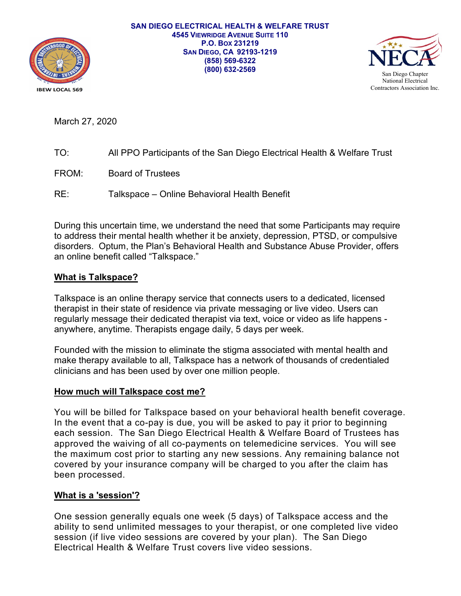

SAN DIEGO ELECTRICAL HEALTH & WELFARE TRUST 4545 VIEWRIDGE AVENUE SUITE 110 P.O. BOX 231219 SAN DIEGO, CA 92193-1219 (858) 569-6322 (800) 632-2569



March 27, 2020

- TO: All PPO Participants of the San Diego Electrical Health & Welfare Trust
- FROM: Board of Trustees

RE: Talkspace – Online Behavioral Health Benefit

During this uncertain time, we understand the need that some Participants may require to address their mental health whether it be anxiety, depression, PTSD, or compulsive disorders. Optum, the Plan's Behavioral Health and Substance Abuse Provider, offers an online benefit called "Talkspace."

## What is Talkspace?

Talkspace is an online therapy service that connects users to a dedicated, licensed therapist in their state of residence via private messaging or live video. Users can regularly message their dedicated therapist via text, voice or video as life happens anywhere, anytime. Therapists engage daily, 5 days per week.

Founded with the mission to eliminate the stigma associated with mental health and make therapy available to all, Talkspace has a network of thousands of credentialed clinicians and has been used by over one million people.

## How much will Talkspace cost me?

You will be billed for Talkspace based on your behavioral health benefit coverage. In the event that a co-pay is due, you will be asked to pay it prior to beginning each session. The San Diego Electrical Health & Welfare Board of Trustees has approved the waiving of all co-payments on telemedicine services. You will see the maximum cost prior to starting any new sessions. Any remaining balance not covered by your insurance company will be charged to you after the claim has been processed.

## What is a 'session'?

One session generally equals one week (5 days) of Talkspace access and the ability to send unlimited messages to your therapist, or one completed live video session (if live video sessions are covered by your plan). The San Diego Electrical Health & Welfare Trust covers live video sessions.